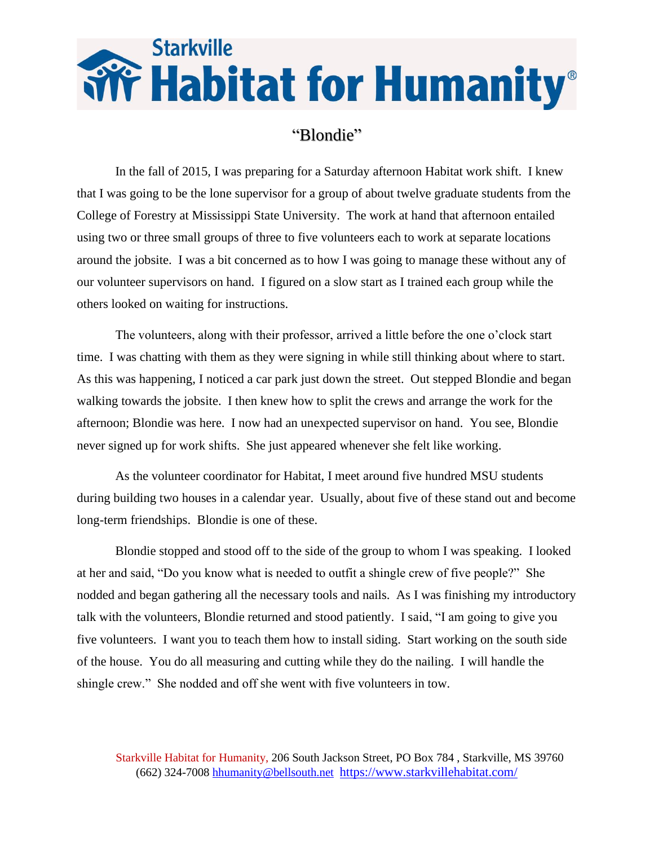## **Starkville Fix Habitat for Humanity®**

## "Blondie"

In the fall of 2015, I was preparing for a Saturday afternoon Habitat work shift. I knew that I was going to be the lone supervisor for a group of about twelve graduate students from the College of Forestry at Mississippi State University. The work at hand that afternoon entailed using two or three small groups of three to five volunteers each to work at separate locations around the jobsite. I was a bit concerned as to how I was going to manage these without any of our volunteer supervisors on hand. I figured on a slow start as I trained each group while the others looked on waiting for instructions.

The volunteers, along with their professor, arrived a little before the one o'clock start time. I was chatting with them as they were signing in while still thinking about where to start. As this was happening, I noticed a car park just down the street. Out stepped Blondie and began walking towards the jobsite. I then knew how to split the crews and arrange the work for the afternoon; Blondie was here. I now had an unexpected supervisor on hand. You see, Blondie never signed up for work shifts. She just appeared whenever she felt like working.

As the volunteer coordinator for Habitat, I meet around five hundred MSU students during building two houses in a calendar year. Usually, about five of these stand out and become long-term friendships. Blondie is one of these.

Blondie stopped and stood off to the side of the group to whom I was speaking. I looked at her and said, "Do you know what is needed to outfit a shingle crew of five people?" She nodded and began gathering all the necessary tools and nails. As I was finishing my introductory talk with the volunteers, Blondie returned and stood patiently. I said, "I am going to give you five volunteers. I want you to teach them how to install siding. Start working on the south side of the house. You do all measuring and cutting while they do the nailing. I will handle the shingle crew." She nodded and off she went with five volunteers in tow.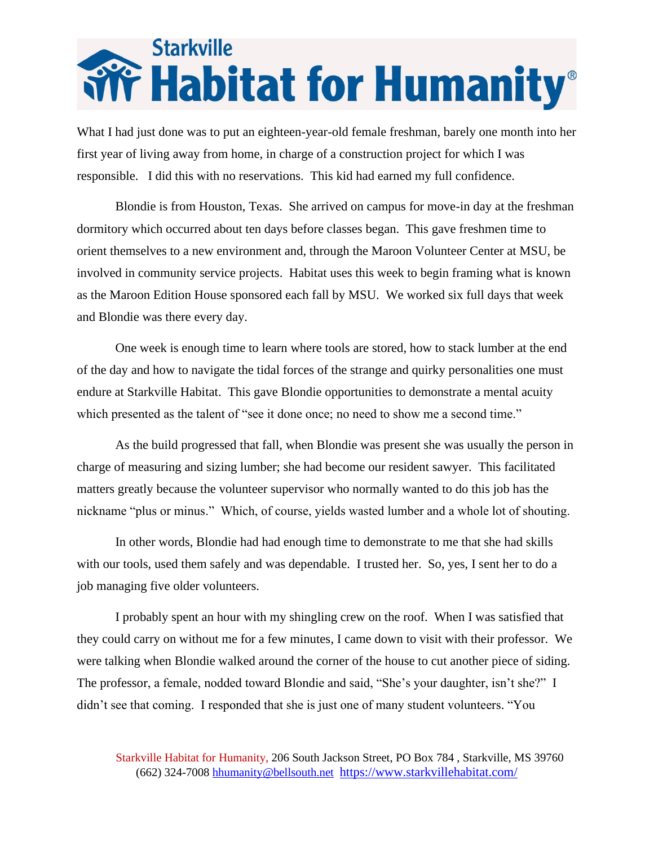## **Starkville Field Humanity**®

What I had just done was to put an eighteen-year-old female freshman, barely one month into her first year of living away from home, in charge of a construction project for which I was responsible. I did this with no reservations. This kid had earned my full confidence.

Blondie is from Houston, Texas. She arrived on campus for move-in day at the freshman dormitory which occurred about ten days before classes began. This gave freshmen time to orient themselves to a new environment and, through the Maroon Volunteer Center at MSU, be involved in community service projects. Habitat uses this week to begin framing what is known as the Maroon Edition House sponsored each fall by MSU. We worked six full days that week and Blondie was there every day.

One week is enough time to learn where tools are stored, how to stack lumber at the end of the day and how to navigate the tidal forces of the strange and quirky personalities one must endure at Starkville Habitat. This gave Blondie opportunities to demonstrate a mental acuity which presented as the talent of "see it done once; no need to show me a second time."

As the build progressed that fall, when Blondie was present she was usually the person in charge of measuring and sizing lumber; she had become our resident sawyer. This facilitated matters greatly because the volunteer supervisor who normally wanted to do this job has the nickname "plus or minus." Which, of course, yields wasted lumber and a whole lot of shouting.

In other words, Blondie had had enough time to demonstrate to me that she had skills with our tools, used them safely and was dependable. I trusted her. So, yes, I sent her to do a job managing five older volunteers.

I probably spent an hour with my shingling crew on the roof. When I was satisfied that they could carry on without me for a few minutes, I came down to visit with their professor. We were talking when Blondie walked around the corner of the house to cut another piece of siding. The professor, a female, nodded toward Blondie and said, "She's your daughter, isn't she?" I didn't see that coming. I responded that she is just one of many student volunteers. "You